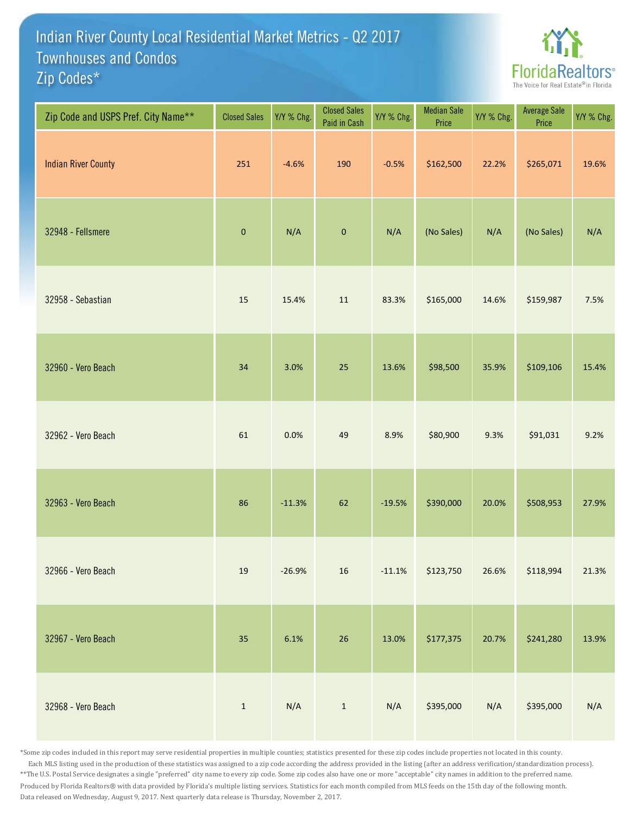## Indian River County Local Residential Market Metrics - Q2 2017 Zip Codes\* Townhouses and Condos



| Zip Code and USPS Pref. City Name** | <b>Closed Sales</b> | Y/Y % Chg. | <b>Closed Sales</b><br>Paid in Cash | Y/Y % Chg. | <b>Median Sale</b><br>Price | Y/Y % Chg. | <b>Average Sale</b><br>Price | Y/Y % Chg. |
|-------------------------------------|---------------------|------------|-------------------------------------|------------|-----------------------------|------------|------------------------------|------------|
| <b>Indian River County</b>          | 251                 | $-4.6%$    | 190                                 | $-0.5%$    | \$162,500                   | 22.2%      | \$265,071                    | 19.6%      |
| 32948 - Fellsmere                   | $\pmb{0}$           | N/A        | $\pmb{0}$                           | N/A        | (No Sales)                  | N/A        | (No Sales)                   | N/A        |
| 32958 - Sebastian                   | 15                  | 15.4%      | $11\,$                              | 83.3%      | \$165,000                   | 14.6%      | \$159,987                    | 7.5%       |
| 32960 - Vero Beach                  | 34                  | 3.0%       | 25                                  | 13.6%      | \$98,500                    | 35.9%      | \$109,106                    | 15.4%      |
| 32962 - Vero Beach                  | 61                  | 0.0%       | 49                                  | 8.9%       | \$80,900                    | 9.3%       | \$91,031                     | 9.2%       |
| 32963 - Vero Beach                  | 86                  | $-11.3%$   | 62                                  | $-19.5%$   | \$390,000                   | 20.0%      | \$508,953                    | 27.9%      |
| 32966 - Vero Beach                  | $19\,$              | $-26.9%$   | 16                                  | $-11.1%$   | \$123,750                   | 26.6%      | \$118,994                    | 21.3%      |
| 32967 - Vero Beach                  | 35                  | 6.1%       | 26                                  | 13.0%      | \$177,375                   | 20.7%      | \$241,280                    | 13.9%      |
| 32968 - Vero Beach                  | $\mathbf 1$         | N/A        | $\,1\,$                             | N/A        | \$395,000                   | N/A        | \$395,000                    | N/A        |

\*Some zip codes included in this report may serve residential properties in multiple counties; statistics presented for these zip codes include properties not located in this county. Each MLS listing used in the production of these statistics was assigned to a zip code according the address provided in the listing (after an address verification/standardization process). \*\*The U.S. Postal Service designates a single "preferred" city name to every zip code. Some zip codes also have one or more "acceptable" city names in addition to the preferred name. Produced by Florida Realtors® with data provided by Florida's multiple listing services. Statistics for each month compiled from MLS feeds on the 15th day of the following month. Data released on Wednesday, August 9, 2017. Next quarterly data release is Thursday, November 2, 2017.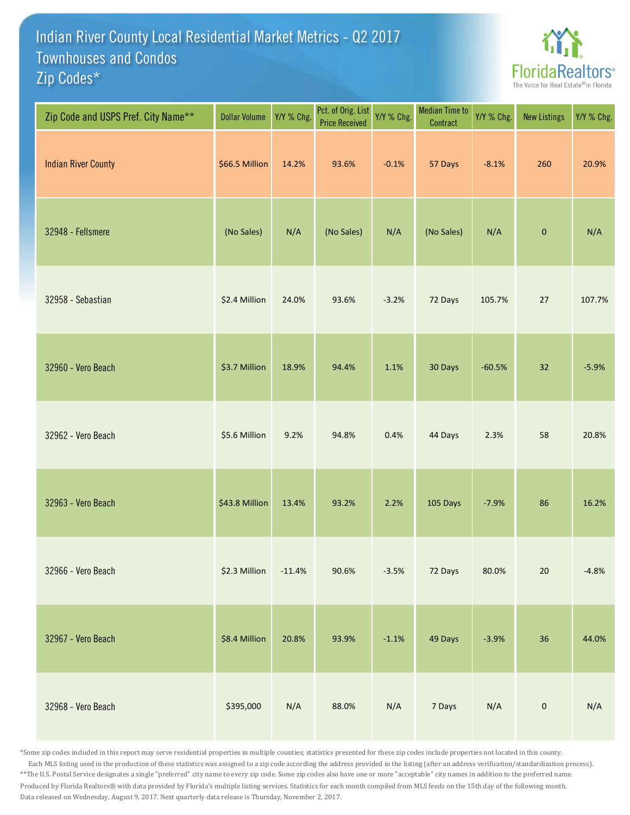## Indian River County Local Residential Market Metrics - Q2 2017 Zip Codes\* Townhouses and Condos



| Zip Code and USPS Pref. City Name** | <b>Dollar Volume</b> | Y/Y % Chg. | Pct. of Orig. List<br><b>Price Received</b> | Y/Y % Chg. | <b>Median Time to</b><br>Contract | Y/Y % Chg. | <b>New Listings</b> | Y/Y % Chg. |
|-------------------------------------|----------------------|------------|---------------------------------------------|------------|-----------------------------------|------------|---------------------|------------|
| <b>Indian River County</b>          | \$66.5 Million       | 14.2%      | 93.6%                                       | $-0.1%$    | 57 Days                           | $-8.1%$    | 260                 | 20.9%      |
| 32948 - Fellsmere                   | (No Sales)           | N/A        | (No Sales)                                  | N/A        | (No Sales)                        | N/A        | $\pmb{0}$           | N/A        |
| 32958 - Sebastian                   | \$2.4 Million        | 24.0%      | 93.6%                                       | $-3.2%$    | 72 Days                           | 105.7%     | 27                  | 107.7%     |
| 32960 - Vero Beach                  | \$3.7 Million        | 18.9%      | 94.4%                                       | 1.1%       | 30 Days                           | $-60.5%$   | 32                  | $-5.9%$    |
| 32962 - Vero Beach                  | \$5.6 Million        | 9.2%       | 94.8%                                       | 0.4%       | 44 Days                           | 2.3%       | 58                  | 20.8%      |
| 32963 - Vero Beach                  | \$43.8 Million       | 13.4%      | 93.2%                                       | 2.2%       | 105 Days                          | $-7.9%$    | 86                  | 16.2%      |
| 32966 - Vero Beach                  | \$2.3 Million        | $-11.4%$   | 90.6%                                       | $-3.5%$    | 72 Days                           | 80.0%      | 20                  | $-4.8%$    |
| 32967 - Vero Beach                  | \$8.4 Million        | 20.8%      | 93.9%                                       | $-1.1%$    | 49 Days                           | $-3.9%$    | 36                  | 44.0%      |
| 32968 - Vero Beach                  | \$395,000            | N/A        | 88.0%                                       | N/A        | 7 Days                            | N/A        | $\pmb{0}$           | N/A        |

\*Some zip codes included in this report may serve residential properties in multiple counties; statistics presented for these zip codes include properties not located in this county. Each MLS listing used in the production of these statistics was assigned to a zip code according the address provided in the listing (after an address verification/standardization process). \*\*The U.S. Postal Service designates a single "preferred" city name to every zip code. Some zip codes also have one or more "acceptable" city names in addition to the preferred name. Produced by Florida Realtors® with data provided by Florida's multiple listing services. Statistics for each month compiled from MLS feeds on the 15th day of the following month. Data released on Wednesday, August 9, 2017. Next quarterly data release is Thursday, November 2, 2017.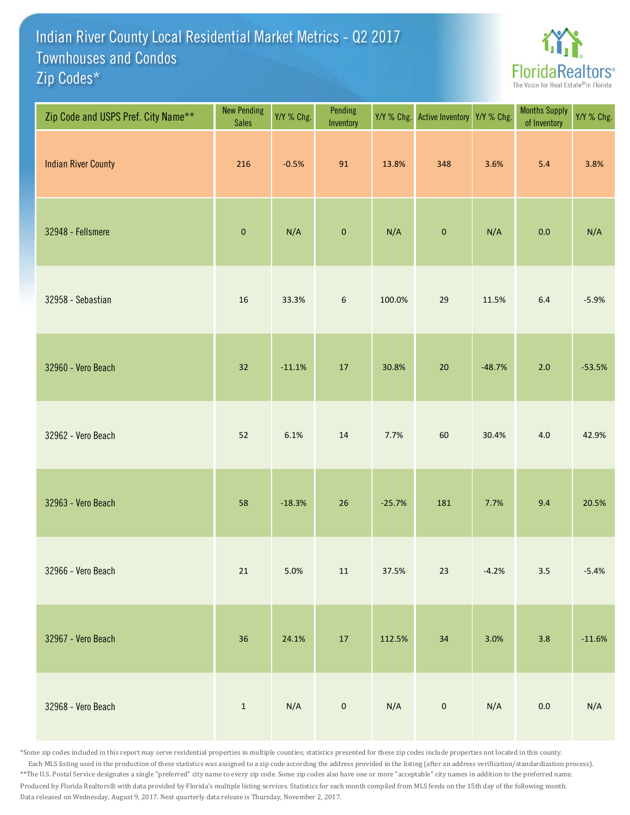## Indian River County Local Residential Market Metrics - Q2 2017 Zip Codes\* Townhouses and Condos



| Zip Code and USPS Pref. City Name** | <b>New Pending</b><br><b>Sales</b> | Y/Y % Chg. | Pending<br>Inventory | Y/Y % Chg. | Active Inventory Y/Y % Chg. |          | <b>Months Supply</b><br>of Inventory | Y/Y % Chg. |
|-------------------------------------|------------------------------------|------------|----------------------|------------|-----------------------------|----------|--------------------------------------|------------|
| <b>Indian River County</b>          | 216                                | $-0.5%$    | 91                   | 13.8%      | 348                         | 3.6%     | 5.4                                  | 3.8%       |
| 32948 - Fellsmere                   | $\pmb{0}$                          | N/A        | $\pmb{0}$            | N/A        | $\pmb{0}$                   | N/A      | 0.0                                  | N/A        |
| 32958 - Sebastian                   | 16                                 | 33.3%      | $\boldsymbol{6}$     | 100.0%     | 29                          | 11.5%    | 6.4                                  | $-5.9%$    |
| 32960 - Vero Beach                  | 32                                 | $-11.1%$   | $17\,$               | 30.8%      | $20\,$                      | $-48.7%$ | $2.0$                                | $-53.5%$   |
| 32962 - Vero Beach                  | 52                                 | 6.1%       | $14\,$               | 7.7%       | 60                          | 30.4%    | 4.0                                  | 42.9%      |
| 32963 - Vero Beach                  | 58                                 | $-18.3%$   | 26                   | $-25.7%$   | 181                         | 7.7%     | 9.4                                  | 20.5%      |
| 32966 - Vero Beach                  | $21\,$                             | 5.0%       | $11\,$               | 37.5%      | $23\,$                      | $-4.2%$  | 3.5                                  | $-5.4%$    |
| 32967 - Vero Beach                  | 36                                 | 24.1%      | $17\,$               | 112.5%     | $34\,$                      | 3.0%     | 3.8                                  | $-11.6%$   |
| 32968 - Vero Beach                  | $\mathbf{1}$                       | N/A        | $\mathbf 0$          | N/A        | $\mathbf 0$                 | N/A      | $0.0\,$                              | N/A        |

\*Some zip codes included in this report may serve residential properties in multiple counties; statistics presented for these zip codes include properties not located in this county. Each MLS listing used in the production of these statistics was assigned to a zip code according the address provided in the listing (after an address verification/standardization process). \*\*The U.S. Postal Service designates a single "preferred" city name to every zip code. Some zip codes also have one or more "acceptable" city names in addition to the preferred name. Produced by Florida Realtors® with data provided by Florida's multiple listing services. Statistics for each month compiled from MLS feeds on the 15th day of the following month. Data released on Wednesday, August 9, 2017. Next quarterly data release is Thursday, November 2, 2017.